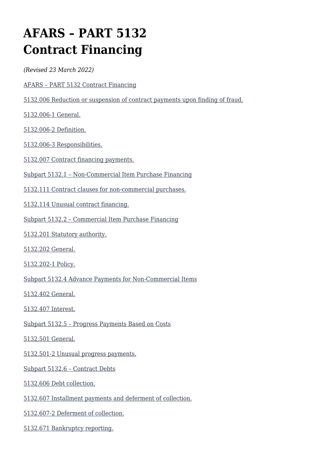# **AFARS – PART 5132 Contract Financing**

*(Revised 23 March 2022)*

- [AFARS PART 5132 Contract Financing](#page--1-0)
- [5132.006 Reduction or suspension of contract payments upon finding of fraud.](#page--1-0)

[5132.006-1 General.](#page--1-0)

[5132.006-2 Definition.](#page--1-0)

[5132.006-3 Responsibilities.](#page--1-0)

[5132.007 Contract financing payments.](#page--1-0)

- [Subpart 5132.1 Non-Commercial Item Purchase Financing](#page--1-0)
- [5132.111 Contract clauses for non-commercial purchases.](#page--1-0)
- [5132.114 Unusual contract financing.](#page--1-0)
- [Subpart 5132.2 Commercial Item Purchase Financing](#page--1-0)
- [5132.201 Statutory authority.](#page--1-0)
- [5132.202 General.](#page--1-0)

[5132.202-1 Policy.](#page--1-0)

[Subpart 5132.4 Advance Payments for Non-Commercial Items](#page--1-0)

[5132.402 General.](#page--1-0)

[5132.407 Interest.](#page--1-0)

[Subpart 5132.5 – Progress Payments Based on Costs](#page--1-0)

[5132.501 General.](#page--1-0)

[5132.501-2 Unusual progress payments.](#page--1-0)

[Subpart 5132.6 – Contract Debts](#page--1-0)

[5132.606 Debt collection.](#page--1-0)

[5132.607 Installment payments and deferment of collection.](#page--1-0)

[5132.607-2 Deferment of collection.](#page--1-0)

[5132.671 Bankruptcy reporting.](#page--1-0)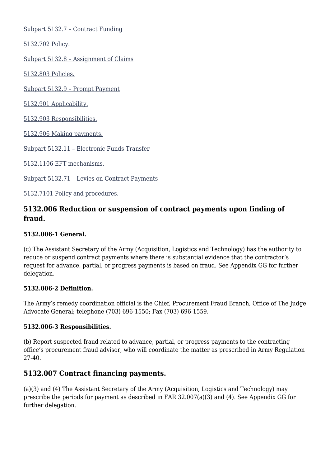[Subpart 5132.7 – Contract Funding](#page--1-0)

[5132.702 Policy.](#page--1-0)

[Subpart 5132.8 – Assignment of Claims](#page--1-0)

[5132.803 Policies.](#page--1-0)

[Subpart 5132.9 – Prompt Payment](#page--1-0)

[5132.901 Applicability.](#page--1-0)

[5132.903 Responsibilities.](#page--1-0)

[5132.906 Making payments.](#page--1-0)

[Subpart 5132.11 – Electronic Funds Transfer](#page--1-0)

[5132.1106 EFT mechanisms.](#page--1-0)

[Subpart 5132.71 – Levies on Contract Payments](#page--1-0)

[5132.7101 Policy and procedures.](#page--1-0)

### **5132.006 Reduction or suspension of contract payments upon finding of fraud.**

#### **5132.006-1 General.**

(c) The Assistant Secretary of the Army (Acquisition, Logistics and Technology) has the authority to reduce or suspend contract payments where there is substantial evidence that the contractor's request for advance, partial, or progress payments is based on fraud. See Appendix GG for further delegation.

#### **5132.006-2 Definition.**

The Army's remedy coordination official is the Chief, Procurement Fraud Branch, Office of The Judge Advocate General; telephone (703) 696-1550; Fax (703) 696-1559.

#### **5132.006-3 Responsibilities.**

(b) Report suspected fraud related to advance, partial, or progress payments to the contracting office's procurement fraud advisor, who will coordinate the matter as prescribed in Army Regulation 27-40.

#### **5132.007 Contract financing payments.**

(a)(3) and (4) The Assistant Secretary of the Army (Acquisition, Logistics and Technology) may prescribe the periods for payment as described in FAR 32.007(a)(3) and (4). See Appendix GG for further delegation.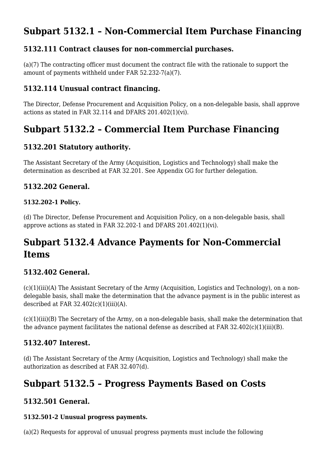# **Subpart 5132.1 – Non-Commercial Item Purchase Financing**

### **5132.111 Contract clauses for non-commercial purchases.**

(a)(7) The contracting officer must document the contract file with the rationale to support the amount of payments withheld under FAR 52.232-7(a)(7).

### **5132.114 Unusual contract financing.**

The Director, Defense Procurement and Acquisition Policy, on a non-delegable basis, shall approve actions as stated in FAR 32.114 and DFARS 201.402(1)(vi).

# **Subpart 5132.2 – Commercial Item Purchase Financing**

### **5132.201 Statutory authority.**

The Assistant Secretary of the Army (Acquisition, Logistics and Technology) shall make the determination as described at FAR 32.201. See Appendix GG for further delegation.

### **5132.202 General.**

#### **5132.202-1 Policy.**

(d) The Director, Defense Procurement and Acquisition Policy, on a non-delegable basis, shall approve actions as stated in FAR 32.202-1 and DFARS 201.402(1)(vi).

# **Subpart 5132.4 Advance Payments for Non-Commercial Items**

### **5132.402 General.**

(c)(1)(iii)(A) The Assistant Secretary of the Army (Acquisition, Logistics and Technology), on a nondelegable basis, shall make the determination that the advance payment is in the public interest as described at FAR  $32.402(c)(1)(iii)(A)$ .

(c)(1)(iii)(B) The Secretary of the Army, on a non-delegable basis, shall make the determination that the advance payment facilitates the national defense as described at FAR  $32.402(c)(1)(iii)(B)$ .

### **5132.407 Interest.**

(d) The Assistant Secretary of the Army (Acquisition, Logistics and Technology) shall make the authorization as described at FAR 32.407(d).

### **Subpart 5132.5 – Progress Payments Based on Costs**

### **5132.501 General.**

#### **5132.501-2 Unusual progress payments.**

(a)(2) Requests for approval of unusual progress payments must include the following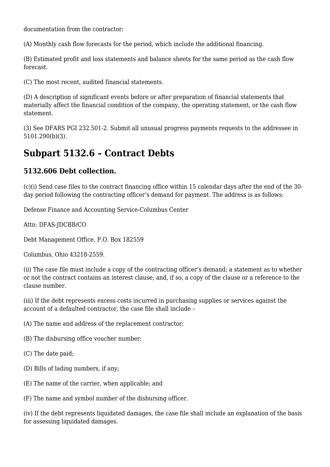documentation from the contractor:

(A) Monthly cash flow forecasts for the period, which include the additional financing.

(B) Estimated profit and loss statements and balance sheets for the same period as the cash flow forecast.

(C) The most recent, audited financial statements.

(D) A description of significant events before or after preparation of financial statements that materially affect the financial condition of the company, the operating statement, or the cash flow statement.

(3) See DFARS PGI 232.501-2. Submit all unusual progress payments requests to the addressee in 5101.290(b)(3).

### **Subpart 5132.6 – Contract Debts**

#### **5132.606 Debt collection.**

(c)(i) Send case files to the contract financing office within 15 calendar days after the end of the 30 day period following the contracting officer's demand for payment. The address is as follows:

Defense Finance and Accounting Service-Columbus Center

Attn: DFAS-JDCBB/CO

Debt Management Office, P.O. Box 182559

Columbus, Ohio 43218-2559.

(ii) The case file must include a copy of the contracting officer's demand; a statement as to whether or not the contract contains an interest clause; and, if so, a copy of the clause or a reference to the clause number.

(iii) If the debt represents excess costs incurred in purchasing supplies or services against the account of a defaulted contractor, the case file shall include –

(A) The name and address of the replacement contractor;

- (B) The disbursing office voucher number;
- (C) The date paid;
- (D) Bills of lading numbers, if any;
- (E) The name of the carrier, when applicable; and

(F) The name and symbol number of the disbursing officer.

(iv) If the debt represents liquidated damages, the case file shall include an explanation of the basis for assessing liquidated damages.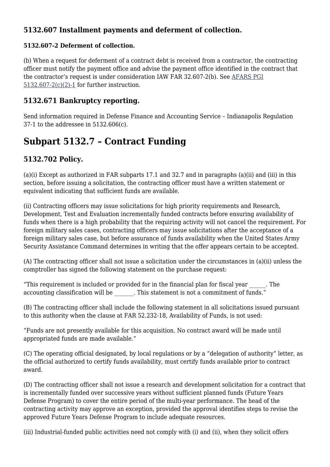### **5132.607 Installment payments and deferment of collection.**

#### **5132.607-2 Deferment of collection.**

(b) When a request for deferment of a contract debt is received from a contractor, the contracting officer must notify the payment office and advise the payment office identified in the contract that the contractor's request is under consideration IAW FAR 32.607-2(b). See [AFARS PGI](https://spcs3.kc.army.mil/asaalt/procurement/PGI/PGI_5132.aspx) [5132.607-2\(c\)\(2\)-1](https://spcs3.kc.army.mil/asaalt/procurement/PGI/PGI_5132.aspx) for further instruction.

### **5132.671 Bankruptcy reporting.**

Send information required in Defense Finance and Accounting Service – Indianapolis Regulation 37-1 to the addressee in 5132.606(c).

# **Subpart 5132.7 – Contract Funding**

### **5132.702 Policy.**

(a)(i) Except as authorized in FAR subparts 17.1 and 32.7 and in paragraphs (a)(ii) and (iii) in this section, before issuing a solicitation, the contracting officer must have a written statement or equivalent indicating that sufficient funds are available.

(ii) Contracting officers may issue solicitations for high priority requirements and Research, Development, Test and Evaluation incrementally funded contracts before ensuring availability of funds when there is a high probability that the requiring activity will not cancel the requirement. For foreign military sales cases, contracting officers may issue solicitations after the acceptance of a foreign military sales case, but before assurance of funds availability when the United States Army Security Assistance Command determines in writing that the offer appears certain to be accepted.

(A) The contracting officer shall not issue a solicitation under the circumstances in (a)(ii) unless the comptroller has signed the following statement on the purchase request:

"This requirement is included or provided for in the financial plan for fiscal year \_\_\_\_\_\_. The accounting classification will be  $\qquad \qquad$  . This statement is not a commitment of funds.'

(B) The contracting officer shall include the following statement in all solicitations issued pursuant to this authority when the clause at FAR 52.232-18, Availability of Funds, is not used:

"Funds are not presently available for this acquisition. No contract award will be made until appropriated funds are made available."

(C) The operating official designated, by local regulations or by a "delegation of authority" letter, as the official authorized to certify funds availability, must certify funds available prior to contract award.

(D) The contracting officer shall not issue a research and development solicitation for a contract that is incrementally funded over successive years without sufficient planned funds (Future Years Defense Program) to cover the entire period of the multi-year performance. The head of the contracting activity may approve an exception, provided the approval identifies steps to revise the approved Future Years Defense Program to include adequate resources.

(iii) Industrial-funded public activities need not comply with (i) and (ii), when they solicit offers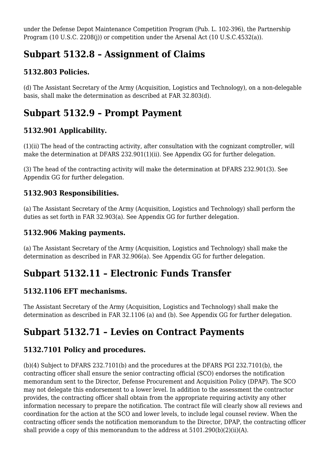under the Defense Depot Maintenance Competition Program (Pub. L. 102-396), the Partnership Program (10 U.S.C. 2208(j)) or competition under the Arsenal Act (10 U.S.C.4532(a)).

# **Subpart 5132.8 – Assignment of Claims**

### **5132.803 Policies.**

(d) The Assistant Secretary of the Army (Acquisition, Logistics and Technology), on a non-delegable basis, shall make the determination as described at FAR 32.803(d).

# **Subpart 5132.9 – Prompt Payment**

### **5132.901 Applicability.**

(1)(ii) The head of the contracting activity, after consultation with the cognizant comptroller, will make the determination at DFARS 232.901(1)(ii). See Appendix GG for further delegation.

(3) The head of the contracting activity will make the determination at DFARS 232.901(3). See Appendix GG for further delegation.

### **5132.903 Responsibilities.**

(a) The Assistant Secretary of the Army (Acquisition, Logistics and Technology) shall perform the duties as set forth in FAR 32.903(a). See Appendix GG for further delegation.

### **5132.906 Making payments.**

(a) The Assistant Secretary of the Army (Acquisition, Logistics and Technology) shall make the determination as described in FAR 32.906(a). See Appendix GG for further delegation.

### **Subpart 5132.11 – Electronic Funds Transfer**

### **5132.1106 EFT mechanisms.**

The Assistant Secretary of the Army (Acquisition, Logistics and Technology) shall make the determination as described in FAR 32.1106 (a) and (b). See Appendix GG for further delegation.

### **Subpart 5132.71 – Levies on Contract Payments**

### **5132.7101 Policy and procedures.**

(b)(4) Subject to DFARS 232.7101(b) and the procedures at the DFARS PGI 232.7101(b), the contracting officer shall ensure the senior contracting official (SCO) endorses the notification memorandum sent to the Director, Defense Procurement and Acquisition Policy (DPAP). The SCO may not delegate this endorsement to a lower level. In addition to the assessment the contractor provides, the contracting officer shall obtain from the appropriate requiring activity any other information necessary to prepare the notification. The contract file will clearly show all reviews and coordination for the action at the SCO and lower levels, to include legal counsel review. When the contracting officer sends the notification memorandum to the Director, DPAP, the contracting officer shall provide a copy of this memorandum to the address at 5101.290(b)(2)(ii)(A).